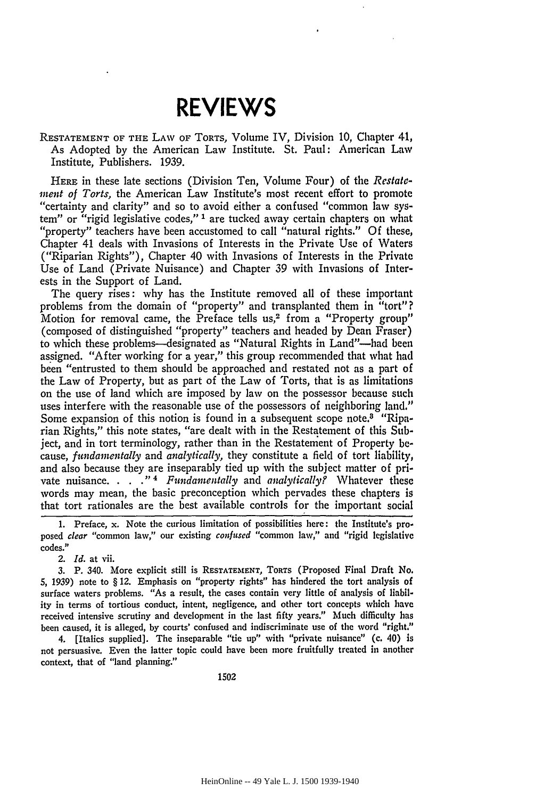## **REVIEWS**

RESTATEMENT OF **THE** LAW OF TORTS, Volume IV, Division **10,** Chapter 41, As Adopted by the American Law Institute. St. Paul: American Law Institute, Publishers. 1939.

**HERE** in these late sections (Division Ten, Volume Four) of the *Restatement of Torts,* the American Law Institute's most recent effort to promote "certainty and clarity" and so to avoid either a confused "common law system" or "rigid legislative codes,"<sup>1</sup> are tucked away certain chapters on what "property" teachers have been accustomed to call "natural rights." Of these, Chapter 41 deals with Invasions of Interests in the Private Use of Waters ("Riparian Rights"), Chapter 40 with Invasions of Interests in the Private Use of Land (Private Nuisance) and Chapter *39* with Invasions of Interests in the Support of Land.

The query rises: why has the Institute removed all of these important problems from the domain of "property" and transplanted them in "tort"? Motion for removal came, the Preface tells us,<sup>2</sup> from a "Property group" (composed of distinguished "property" teachers and headed by Dean Fraser) to which these problems--designated as "Natural Rights in Land"--had been assigned. "After working for a year," this group recommended that what had been "entrusted to them should be approached and restated not as a part of the Law of Property, but as part of the Law of Torts, that is as limitations on the use of land which are imposed by law on the possessor because such uses interfere with the reasonable use of the possessors of neighboring land." Some expansion of this notion is found in a subsequent scope note.8 "Riparian Rights," this note states, "are dealt with in the Restatement of this Subject, and in tort terminology, rather than in the Restatement of Property **be**cause, *fundamentally* and *analytically,* they constitute a field of tort liability, and also because they are inseparably tied up with the subject matter of private nuisance. . **. . "** *' Fundamentally* and *analyticallyf* Whatever these words may mean, the basic preconception which pervades these chapters is that tort rationales are the best available controls for the important social

*2. Id.* at vii.

**3.** P. 340. More explicit still is **RESTATEMENT,** TORTs (Proposed Final Draft No. **5, 1939)** note to § 12. Emphasis on "property rights" has hindered the tort analysis of surface waters problems. "As a result, the cases contain very little of analysis of liability in terms of tortious conduct, intent, negligence, and other tort concepts which have received intensive scrutiny and development in the last fifty years." Much difficulty has been caused, it is alleged, **by** courts' confused and indiscriminate use of the word "right."

4. [Italics supplied]. The inseparable "tie up" with "private nuisance" (c. 40) is not persuasive. Even the latter topic could have been more fruitfully treated in another context, that of "land planning."

1502

<sup>1.</sup> Preface, x. Note the curious limitation of possibilities here: the Institute's proposed *clear* "common law," our existing *confused* "common law," and "rigid legislative codes."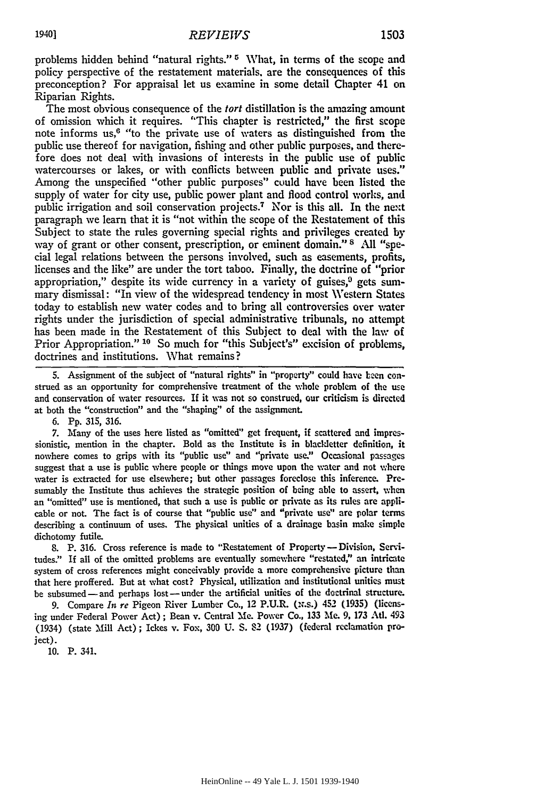problems hidden behind "natural rights."  $5$  What, in terms of the scope and policy perspective of the restatement materials, are the consequences of this preconception? For appraisal let us examine in some detail Chapter 41 on Riparian Rights.

The most obvious consequence of the *tort* distillation is the amazing amount of omission which it requires. "This chapter is restricted," the first scope note informs us,6 "to the private use of waters as distinguished from the public use thereof for navigation, fishing and other public purposes, and therefore does not deal with invasions of interests in the public use of public watercourses or lakes, or with conflicts between public and private uses." Among the unspecified "other public purposes" could have been listed the supply of water for city use, public power plant and flood control works, and public irrigation and soil conservation projects.<sup>7</sup> Nor is this all. In the next paragraph we learn that it is "not within the scope of the Restatement of this Subject to state the rules governing special rights and privileges created **by** way of grant or other consent, prescription, or eminent domain." <sup>8</sup> All "special legal relations between the persons involved, such as easements, profits, licenses and the like" are under the tort taboo. Finally, the doctrine of "prior appropriation," despite its wide currency in a variety of guises, $9$  gets summary dismissal: "In view of the widespread tendency in most Western States today to establish new water codes and to bring all controversies over water rights under the jurisdiction of special administrative tribunals, no attempt has been made in the Restatement of this Subject to deal with the law of Prior Appropriation." **10** So much for "this Subject's" excision of problems, doctrines and institutions. What remains?

**S.** Assignment of the subject of "natural rights" in "property" could have been construed as an opportunity for comprehensive treatment of the whole problem of the use and conservation of water resources. If it was not so construed, our criticism is directed at both the "construction" and the "shaping" of the assignment.

**6. Pp. 315,** 316.

**7.** Many of the uses here listed as "omitted" get frequent, if scattered and impressionistic, mention in the chapter. Bold as the Institute is in blackletter definition, it nowhere comes to grips with its "public use" and "private use." Occasional passages suggest that a use is public where people or things move upon the water and not where water is extracted for use elsewhere; but other passages foreclose this inference. Presumably the Institute thus achieves the strategic position of being able to assert, when an "omitted" use is mentioned, that such a use is public or private as its rules are applicable or not. The fact is of course that "public use" and "private use" are polar terms describing a continuum of uses. The physical unities of a drainage basin make simple dichotomy futile.

8. P. 316. Cross reference is made to "Restatement of Property **-** Division, Servitudes." If all of the omitted problems are eventually somewhere "restated," an intricate system of cross references might conceivably provide a more comprehensive picture than that here proffered. But at what cost? Physical, utilization and institutional unities must be subsumed-and perhaps lost-under the artificial unities of the doctrinal structure.

9. Compare *In re* Pigeon River Lumber Co., 12 P.U.R. (x.s.) 432 **(1935)** (licensing under Federal Power Act); Bean v. Central Mie. Power Co., 133 Me. 9, **173** At. 493 (1934) (state Mill Act); Ickes v. Fox, **300** U. S. 82 (1937) (federal reclamation project).

**10.** P. 341.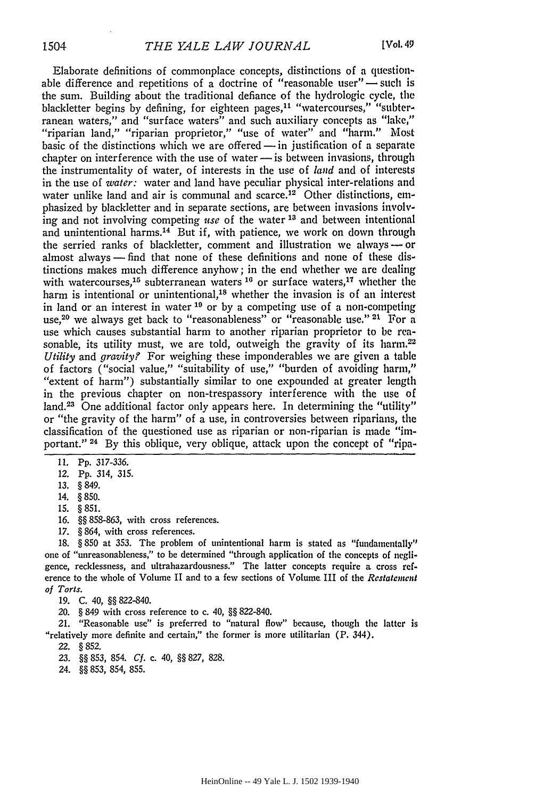Elaborate definitions of commonplace concepts, distinctions of a questionable difference and repetitions of a doctrine of "reasonable user" $-$  such is the sum. Building about the traditional defiance of the hydrologic cycle, the blackletter begins by defining, for eighteen pages,<sup>11</sup> "watercourses," "subter-<br>ranean waters," and "surface waters" and such auxiliary concepts as "lake." "riparian land," "riparian proprietor," "use of water" and "harm." Most basic of the distinctions which we are offered  $-$  in justification of a separate chapter on interference with the use of water  $-$  is between invasions, through the instrumentality of water, of interests in the use of *land* and of interests in the use of *water:* water and land have peculiar physical inter-relations and water unlike land and air is communal and scarce.<sup>12</sup> Other distinctions, emphasized **by** blackletter and in separate sections, are between invasions involving and not involving competing *use* of the water **13** and between intentional and unintentional harms.<sup>14</sup> But if, with patience, we work on down through the serried ranks of blackletter, comment and illustration we always --- or almost always - find that none of these definitions and none of these distinctions makes much difference anyhow; in the end whether we are dealing with watercourses,<sup>15</sup> subterranean waters<sup>16</sup> or surface waters,<sup>17</sup> whether the harm is intentional or unintentional,<sup>18</sup> whether the invasion is of an interest in land or an interest in water **"I** or **by** a competing use of a non-competing use,20 we always get back to "reasonableness" or "reasonable use." **21** For a use which causes substantial harm to another riparian proprietor to be reasonable, its utility must, we are told, outweigh the gravity of its harm.<sup>22</sup> *Utility* and *gravity?* For weighing these imponderables we are given a table of factors ("social value," "suitability of use," "burden of avoiding harm," "extent of harm") substantially similar to one expounded at greater length in the previous chapter on non-trespassory interference with the use of land.<sup>23</sup> One additional factor only appears here. In determining the "utility" or "the gravity of the harm" of a use, in controversies between riparians, the classification of the questioned use as riparian or non-riparian is made "important." 24 **By** this oblique, very oblique, attack upon the concept of "ripa-

**11. Pp.** 317-336.

- 16. §§ 858-863, with cross references.
- 17. § 864, with cross references.

18. **§** 850 at 353. The problem of unintentional harm is stated as "fundamentally" one of "unreasonableness," to be determined "through application of the concepts of negligence, recklessness, and ultrahazardousness." The latter concepts require a cross reference to the whole of Volume II and to a few sections of Volume III of the *Restatement of Torts.*

19. C. 40, §§822-840.

20. § 849 with cross reference to c. 40, **§§** 822-840.

21. "Reasonable use" is preferred to "natural flow" because, though the latter is "relatively more definite and certain," the former is more utilitarian (P. 344).

22. § 852.

23. **§** 853, 854. *Cf. c.* 40, **H§** *827,* 828.

24. **§§** 853, 854, 855.

<sup>12.</sup> Pp. 314, 315.

<sup>13.</sup> **§** 849.

<sup>14. § 850.</sup>

**<sup>15. § 851.</sup>**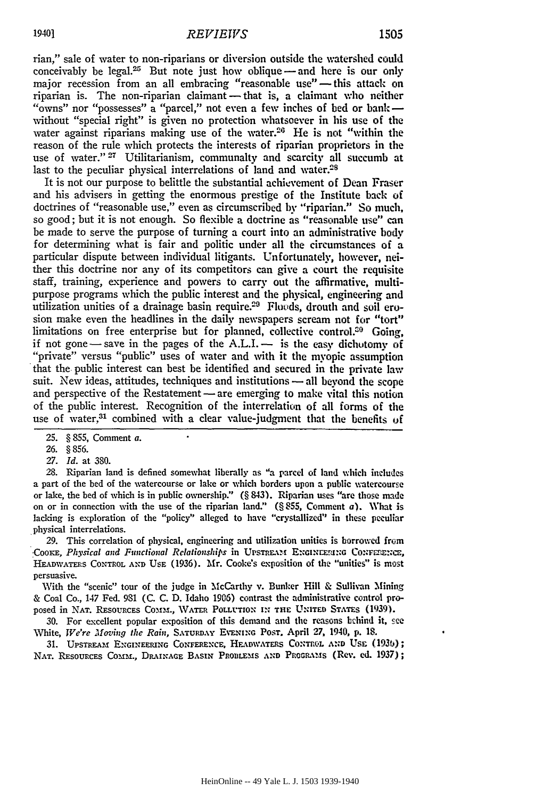rian," sale of water to non-riparians or diversion outside the watershed could conceivably be legal.<sup>25</sup> But note just how oblique  $-$  and here is our only major recession from an all embracing "reasonable use" -- this attack on riparian is. The non-riparian claimant — that is, a claimant who neither "owns" nor "possesses" a "parcel," not even a few inches of bed or bank without "special right" is given no protection whatsoever in his use of the water against riparians making use of the water.<sup>26</sup> He is not "within the reason of the rule which protects the interests of riparian proprietors in the use of water." **27** Utilitarianism, communalty and scarcity all succumb at last to the peculiar physical interrelations of land and water. $2<sup>8</sup>$ 

It is not our purpose to belittle the substantial achievement of Dean Fraser and his advisers in getting the enormous prestige of the Institute back of doctrines of "reasonable use," even as circumscribed by "riparian." So much, so good; but it is not enough. So flexible a doctrine as "reasonable use" **can** be made to serve the purpose of turning a court into an administrative **body** for determining what is fair and politic under all the circumstances **of** a particular dispute between individual litigants. Unfortunately, however, neither this doctrine nor any of its competitors can give a court the requisite staff, training, experience and powers to carry out the affirmative, multipurpose programs which the public interest and the physical, engineering and utilization unities of a drainage basin require.<sup>29</sup> Floods, drouth and soil erosion make even the headlines in the daily newspapers scream not for "tort" limitations on free enterprise but for planned, collective control.<sup>30</sup> Going, if not gone-save in the pages of the **A.L.I.-** is the easy dichotomy of "private" versus "public" uses of water and with it the myopic assumption that the public interest can best be identified and secured in the private law suit. New ideas, attitudes, techniques and institutions — all beyond the scope and perspective of the Restatement — are emerging to make vital this notion of the public interest. Recognition of the interrelation of all forms of the use of water,<sup>31</sup> combined with a clear value-judgment that the benefits of

*28.* Riparian land is defined somewhat liberally as "a parcel of land which includes a part of the bed of the watercourse or lake or which borders upon a public watercourse or lake, the bed of which is in public ownership." (§ 843). Riparian uses "are those made on or in connection with the use of the riparian land." (§ **855,** Comment a). What is lacking is exploration of the "policy" alleged to have "crystallized" in these peculiar physical interrelations.

29. This correlation of physical, engineering and utilization unities is borrowed from *COOKE, Physical and Functional Relationships* in UPSTREAM ENGINEERING CONFERENCE, HEADWATFRS CONTROL **AND USE** (1936). Mr. Cooke's exposition of the "unities" is most persuasive.

With the "scenic" tour of the judge in McCarthy v. Bunker Hill & Sullivan Mining & Coal Co., 147 Fed. 981 (C. **C. D.** Idaho 1906) contrast the administrative control proposed in NAT. RESOURCES COMM., WATER POLLUTION IN THE UNITED STATES (1939).

**30.** For excellent popular exposition of this demand and the reasons bchind it, **see** White, *We're Moving the Rain,* SATURDAY EVENING POST. April 27, 1940, **p. 18.**

31. **UPSTREAM ENGINEERING CONFERENCE, HEADWATERS CONTROL AND USE (1936);** NAT. RESOURCES COMM., DRAINAGE BASIN PROBLEMS AND PROGRAMS (Rev. ed. 1937);

**<sup>25.</sup>** § **855,** Comment a.

**<sup>26.</sup>** § **856.**

*<sup>27.</sup> Id.* at **380.**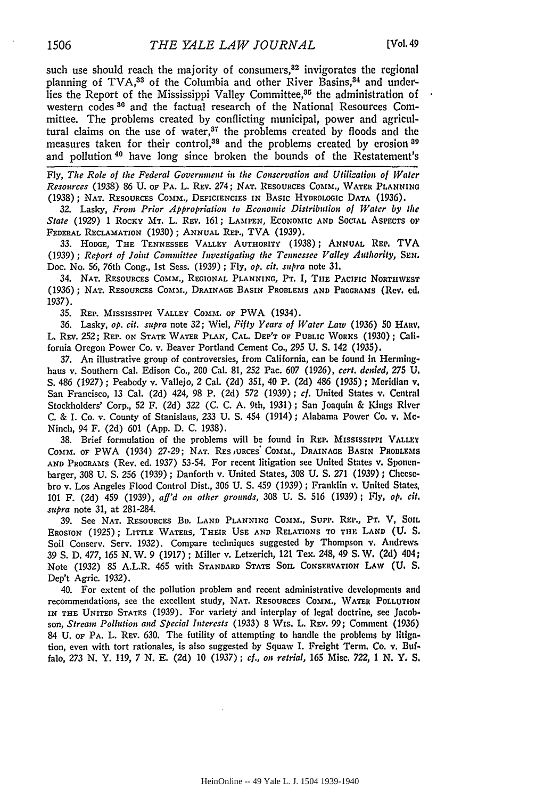such use should reach the majority of consumers, $32$  invigorates the regional planning of TVA,<sup>33</sup> of the Columbia and other River Basins,<sup>84</sup> and underlies the Report of the Mississippi Valley Committee,<sup>35</sup> the administration of western codes **86** and the factual research of the National Resources Committee. The problems created by conflicting municipal, power and agricultural claims on the use of water, $37$  the problems created by floods and the measures taken for their control,<sup>38</sup> and the problems created by erosion<sup>80</sup> and pollution 40 have long since broken the bounds of the Restatement's

**Fly,** *The Role of the Federal Government in the Conservation and Utilizalion of Water Resources* (1938) **86 U. OF PA.** L. REv. 274; NAT. **RESOURCES** COMM., WA'rTER PLANNING (1938); NAT. RESOURCES CoMm., **DEFICIENCIES** IN BASIC HYDROLOGIC **DATA** (1936).

**32.** Lasky, *From Prior Appropriation to Economic Distribution of Water by the* State (1929) 1 ROCKY MT. L. REV. 161; LAMPEN, ECONOMIC AND SOCIAL ASPECTS OF FEDERAL RECLAMATION (1930); ANNUAL REP., TVA (1939).

**33.** HODGE, THE TENNESSEE VALLEY AUTHORITY (1938); AN4UAL REP. TVA **(1939) ;** *Report of Joint Committee Investigating the Tennessee Valley Authority, SEN.* Doc. No. **56,** 76th Cong., **1st** Sess. **(1939) ; Fly,** *op. cit. supra* note **31.**

34. NAT. **RESOURCES** COMM., REGIONAL **PLANNING,** PT. I, **THE** PACIFIC NORTHWEST (1936); NAT. RESOURCES COMm., DRAINAGE BASIN PROBLEMS **AND** PROGRAMS (Rev. **ed. 1937).**

**35.** REP. MISSISSIPPI VALLEY **COINt. OF** PWA (1934).

**36.** Lasky, *op. cit. supra* note 32; Wiel, *Fifty Years of Water Law* (1936) **50** HARV. L. REV. **252;** REP. **ON STATE** WATER **PLAN,** CAL. DEPT OF **PUBLIC** WORKS (1930); California Oregon Power Co. v. Beaver Portland Cement Co., **295** U. S. 142 (1935).

37. An illustrative group of controversies, from California, can be found in Herminghaus v. Southern Cal. Edison Co., 200 Cal. 81, **252** Pac. 607 (1926), *cert. denied, 275 U.* **S.** 486 (1927) ; Peabody v. Vallejo, 2 Cal. **(2d)** 351, 40 P. (2d) 486 (1935) ; Meridian v. San Francisco, 13 Cal. (2d) 424, 98 P. (2d) **572** (1939); *cf.* United States v. Central Stockholders' Corp., **52** F. (2d) 322 (C. C. A. 9th, 1931); San Joaquin & Kings River C. & I. Co. v. County of Stanislaus, 233 U. **S.** 454 (1914) ; Alabama Power Co. v. **Mc-**Ninch, 94 F. (2d) 601 **(App.** D. C. 1938).

**38.** Brief formulation of the problems will be found in REP. **MISSISSIPPI** VALLEy **COMMs.** OF PWA (1934) 27-29; NAT. **RESjURES"** Comm., DRAINAGE BASIN PROBLEMS **AND PROGRAMS** (Rev. **ed.** 1937) **53-54.** For recent litigation see United States v. Sponenbarger, 308 **U. S.** 256 (1939) ; Danforth v. United States, **308 U. S. 271** (1939) ; Cheesebro v. Los Angeles Flood Control Dist., **306 U. S.** 459 (1939) ; Franklin v. United States, 101 F. (2d) 459 (1939), *aff'd on other grounds,* **308 U. S.** 516 (1939); **Fly,** *op, cit. supra* note **31,** at 281-284.

**39.** See NAT. RESOURCES BD. LAND PLANNING COMM., SUPP. REP., PT. V, SOIL EROSION (1925); LITTLE WATERS, THEIR USE **AND** RELATIONS TO TIE LAND (U. **S.** Soil Conserv. Serv. 1932). Compare techniques suggested by Thompson v, Andrews 39 *S.* D. 477, *165* N. W. **9** (1917) ; Miller v. Letzerich, 121 Tex. 248, 49 **S.** W. **(2d)** 404; Note (1932) **85** A.L.R. 465 with STANDARD STATE SOIL CONSERVATION LAW (U. S. Dep't Agric. 1932).

40. For extent of the pollution problem and recent administrative developments and recommendations, see the excellent study, NAT. RESOURCES COMM., WATER POLLUTION **IN THE UNITED** STATES (1939). For variety and interplay of legal doctrine, see Jacobson, *Stream Pollution and Special Interests* (1933) 8 WIs. L. REv. 99; Comment (1936) 84 U. OF PA. L. REv. **630.** The futility of attempting to handle the problems by litigation, even with tort rationales, is also suggested by Squaw I. Freight Term. Co. v. Buffalo, **273** N. Y. 119, 7 N. **E. (2d) 10** (1937) *; cf., on retrial, 165* Misc. **722, 1** *N. Y.* S.